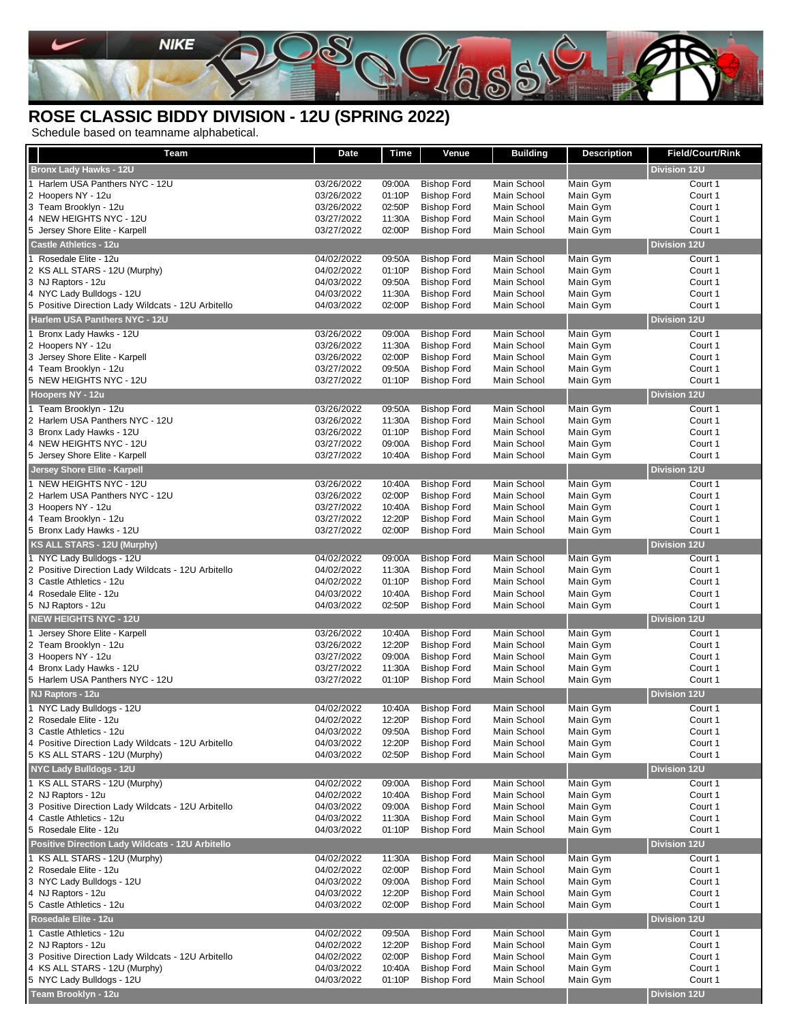

## **ROSE CLASSIC BIDDY DIVISION - 12U (SPRING 2022)**

Schedule based on teamname alphabetical.

| Team                                                                            | Date                     | Time             | Venue                                    | <b>Building</b>            | <b>Description</b>   | Field/Court/Rink    |
|---------------------------------------------------------------------------------|--------------------------|------------------|------------------------------------------|----------------------------|----------------------|---------------------|
| <b>Bronx Lady Hawks - 12U</b>                                                   |                          |                  |                                          |                            |                      | <b>Division 12U</b> |
| 1 Harlem USA Panthers NYC - 12U                                                 | 03/26/2022               | 09:00A           | <b>Bishop Ford</b>                       | Main School                | Main Gym             | Court 1             |
| 2 Hoopers NY - 12u                                                              | 03/26/2022               | 01:10P           | <b>Bishop Ford</b>                       | Main School                | Main Gym             | Court 1             |
| 3 Team Brooklyn - 12u                                                           | 03/26/2022               | 02:50P           | <b>Bishop Ford</b>                       | Main School                | Main Gym             | Court 1             |
| 4 NEW HEIGHTS NYC - 12U                                                         | 03/27/2022               | 11:30A           | <b>Bishop Ford</b>                       | Main School                | Main Gym             | Court 1             |
| 5 Jersey Shore Elite - Karpell                                                  | 03/27/2022               | 02:00P           | <b>Bishop Ford</b>                       | Main School                | Main Gym             | Court 1             |
| <b>Castle Athletics - 12u</b>                                                   |                          |                  |                                          |                            |                      | <b>Division 12U</b> |
| 1 Rosedale Elite - 12u                                                          | 04/02/2022               | 09:50A           | <b>Bishop Ford</b>                       | Main School                | Main Gym             | Court 1             |
| 2 KS ALL STARS - 12U (Murphy)                                                   | 04/02/2022               | 01:10P           | <b>Bishop Ford</b>                       | Main School                | Main Gym             | Court 1             |
| 3 NJ Raptors - 12u                                                              | 04/03/2022               | 09:50A           | <b>Bishop Ford</b>                       | Main School                | Main Gym             | Court 1             |
| 4 NYC Lady Bulldogs - 12U<br>5 Positive Direction Lady Wildcats - 12U Arbitello | 04/03/2022<br>04/03/2022 | 11:30A<br>02:00P | <b>Bishop Ford</b><br><b>Bishop Ford</b> | Main School<br>Main School | Main Gym<br>Main Gym | Court 1<br>Court 1  |
| Harlem USA Panthers NYC - 12U                                                   |                          |                  |                                          |                            |                      | <b>Division 12U</b> |
|                                                                                 |                          |                  |                                          |                            |                      |                     |
| 1 Bronx Lady Hawks - 12U                                                        | 03/26/2022               | 09:00A           | <b>Bishop Ford</b>                       | Main School                | Main Gym             | Court 1             |
| 2 Hoopers NY - 12u<br>3 Jersey Shore Elite - Karpell                            | 03/26/2022<br>03/26/2022 | 11:30A<br>02:00P | <b>Bishop Ford</b><br><b>Bishop Ford</b> | Main School<br>Main School | Main Gym<br>Main Gym | Court 1<br>Court 1  |
| 4 Team Brooklyn - 12u                                                           | 03/27/2022               | 09:50A           | <b>Bishop Ford</b>                       | Main School                | Main Gym             | Court 1             |
| 5 NEW HEIGHTS NYC - 12U                                                         | 03/27/2022               | 01:10P           | <b>Bishop Ford</b>                       | Main School                | Main Gym             | Court 1             |
| Hoopers NY - 12u                                                                |                          |                  |                                          |                            |                      | <b>Division 12U</b> |
| 1 Team Brooklyn - 12u                                                           | 03/26/2022               | 09:50A           | <b>Bishop Ford</b>                       | Main School                | Main Gym             | Court 1             |
| 2 Harlem USA Panthers NYC - 12U                                                 | 03/26/2022               | 11:30A           | <b>Bishop Ford</b>                       | Main School                | Main Gym             | Court 1             |
| 3 Bronx Lady Hawks - 12U                                                        | 03/26/2022               | 01:10P           | <b>Bishop Ford</b>                       | Main School                | Main Gym             | Court 1             |
| 4 NEW HEIGHTS NYC - 12U                                                         | 03/27/2022               | 09:00A           | <b>Bishop Ford</b>                       | Main School                | Main Gym             | Court 1             |
| 5 Jersey Shore Elite - Karpell                                                  | 03/27/2022               | 10:40A           | <b>Bishop Ford</b>                       | Main School                | Main Gym             | Court 1             |
| Jersey Shore Elite - Karpell                                                    |                          |                  |                                          |                            |                      | <b>Division 12U</b> |
| 1 NEW HEIGHTS NYC - 12U                                                         | 03/26/2022               | 10:40A           | <b>Bishop Ford</b>                       | Main School                | Main Gym             | Court 1             |
| 2 Harlem USA Panthers NYC - 12U                                                 | 03/26/2022               | 02:00P           | <b>Bishop Ford</b>                       | Main School                | Main Gym             | Court 1             |
| 3 Hoopers NY - 12u                                                              | 03/27/2022               | 10:40A           | <b>Bishop Ford</b>                       | Main School                | Main Gym             | Court 1             |
| 4 Team Brooklyn - 12u                                                           | 03/27/2022               | 12:20P           | <b>Bishop Ford</b>                       | Main School                | Main Gym             | Court 1             |
| 5 Bronx Lady Hawks - 12U                                                        | 03/27/2022               | 02:00P           | <b>Bishop Ford</b>                       | Main School                | Main Gym             | Court 1             |
| <b>KS ALL STARS - 12U (Murphy)</b>                                              |                          |                  |                                          |                            |                      | <b>Division 12U</b> |
| 1 NYC Lady Bulldogs - 12U                                                       | 04/02/2022               | 09:00A           | <b>Bishop Ford</b>                       | Main School                | Main Gym             | Court 1             |
| 2 Positive Direction Lady Wildcats - 12U Arbitello                              | 04/02/2022               | 11:30A           | <b>Bishop Ford</b>                       | Main School                | Main Gym             | Court 1             |
| 3 Castle Athletics - 12u                                                        | 04/02/2022               | 01:10P           | <b>Bishop Ford</b>                       | Main School                | Main Gym             | Court 1             |
| 4 Rosedale Elite - 12u<br>5 NJ Raptors - 12u                                    | 04/03/2022<br>04/03/2022 | 10:40A<br>02:50P | <b>Bishop Ford</b><br><b>Bishop Ford</b> | Main School<br>Main School | Main Gym<br>Main Gym | Court 1<br>Court 1  |
| <b>NEW HEIGHTS NYC - 12U</b>                                                    |                          |                  |                                          |                            |                      | <b>Division 12U</b> |
|                                                                                 |                          |                  |                                          |                            |                      |                     |
| 1 Jersey Shore Elite - Karpell<br>2 Team Brooklyn - 12u                         | 03/26/2022<br>03/26/2022 | 10:40A<br>12:20P | <b>Bishop Ford</b><br><b>Bishop Ford</b> | Main School<br>Main School | Main Gym<br>Main Gym | Court 1<br>Court 1  |
| 3 Hoopers NY - 12u                                                              | 03/27/2022               | 09:00A           | <b>Bishop Ford</b>                       | Main School                | Main Gym             | Court 1             |
| 4 Bronx Lady Hawks - 12U                                                        | 03/27/2022               | 11:30A           | <b>Bishop Ford</b>                       | Main School                | Main Gym             | Court 1             |
| 5 Harlem USA Panthers NYC - 12U                                                 | 03/27/2022               | 01:10P           | <b>Bishop Ford</b>                       | Main School                | Main Gym             | Court 1             |
| NJ Raptors - 12u                                                                |                          |                  |                                          |                            |                      | <b>Division 12U</b> |
| 1 NYC Lady Bulldogs - 12U                                                       | 04/02/2022               | 10:40A           | <b>Bishop Ford</b>                       | Main School                | Main Gym             | Court 1             |
| 2 Rosedale Elite - 12u                                                          | 04/02/2022               | 12:20P           | <b>Bishop Ford</b>                       | Main School                | Main Gym             | Court 1             |
| 3 Castle Athletics - 12u                                                        | 04/03/2022               | 09:50A           | <b>Bishop Ford</b>                       | Main School                | Main Gym             | Court 1             |
| 4 Positive Direction Lady Wildcats - 12U Arbitello                              | 04/03/2022               | 12:20P           | <b>Bishop Ford</b>                       | Main School                | Main Gym             | Court 1             |
| 5 KS ALL STARS - 12U (Murphy)                                                   | 04/03/2022               | 02:50P           | <b>Bishop Ford</b>                       | Main School                | Main Gym             | Court 1             |
| <b>NYC Lady Bulldogs - 12U</b>                                                  |                          |                  |                                          |                            |                      | <b>Division 12U</b> |
| 1 KS ALL STARS - 12U (Murphy)                                                   | 04/02/2022               | 09:00A           | <b>Bishop Ford</b>                       | Main School                | Main Gym             | Court 1             |
| 2 NJ Raptors - 12u                                                              | 04/02/2022               | 10:40A           | <b>Bishop Ford</b>                       | Main School                | Main Gym             | Court 1             |
| 3 Positive Direction Lady Wildcats - 12U Arbitello                              | 04/03/2022               | 09:00A           | <b>Bishop Ford</b>                       | Main School                | Main Gym             | Court 1             |
| 4 Castle Athletics - 12u                                                        | 04/03/2022               | 11:30A           | <b>Bishop Ford</b>                       | Main School                | Main Gym             | Court 1             |
| 5 Rosedale Elite - 12u                                                          | 04/03/2022               | 01:10P           | <b>Bishop Ford</b>                       | Main School                | Main Gym             | Court 1             |
| Positive Direction Lady Wildcats - 12U Arbitello                                |                          |                  |                                          |                            |                      | Division 12U        |
| 1 KS ALL STARS - 12U (Murphy)                                                   | 04/02/2022               | 11:30A           | <b>Bishop Ford</b>                       | Main School                | Main Gym             | Court 1             |
| 2 Rosedale Elite - 12u<br>3 NYC Lady Bulldogs - 12U                             | 04/02/2022               | 02:00P           | <b>Bishop Ford</b>                       | Main School<br>Main School | Main Gym             | Court 1             |
| 4 NJ Raptors - 12u                                                              | 04/03/2022<br>04/03/2022 | 09:00A<br>12:20P | <b>Bishop Ford</b><br><b>Bishop Ford</b> | Main School                | Main Gym<br>Main Gym | Court 1<br>Court 1  |
| 5 Castle Athletics - 12u                                                        | 04/03/2022               | 02:00P           | <b>Bishop Ford</b>                       | Main School                | Main Gym             | Court 1             |
| Rosedale Elite - 12u                                                            |                          |                  |                                          |                            |                      | <b>Division 12U</b> |
| 1 Castle Athletics - 12u                                                        | 04/02/2022               | 09:50A           | <b>Bishop Ford</b>                       | Main School                | Main Gym             | Court 1             |
| 2 NJ Raptors - 12u                                                              | 04/02/2022               | 12:20P           | <b>Bishop Ford</b>                       | Main School                | Main Gym             | Court 1             |
| 3 Positive Direction Lady Wildcats - 12U Arbitello                              | 04/02/2022               | 02:00P           | <b>Bishop Ford</b>                       | Main School                | Main Gym             | Court 1             |
| 4 KS ALL STARS - 12U (Murphy)                                                   | 04/03/2022               | 10:40A           | <b>Bishop Ford</b>                       | Main School                | Main Gym             | Court 1             |
| 5 NYC Lady Bulldogs - 12U                                                       | 04/03/2022               | 01:10P           | <b>Bishop Ford</b>                       | Main School                | Main Gym             | Court 1             |
| Team Brooklyn - 12u                                                             |                          |                  |                                          |                            |                      | <b>Division 12U</b> |
|                                                                                 |                          |                  |                                          |                            |                      |                     |